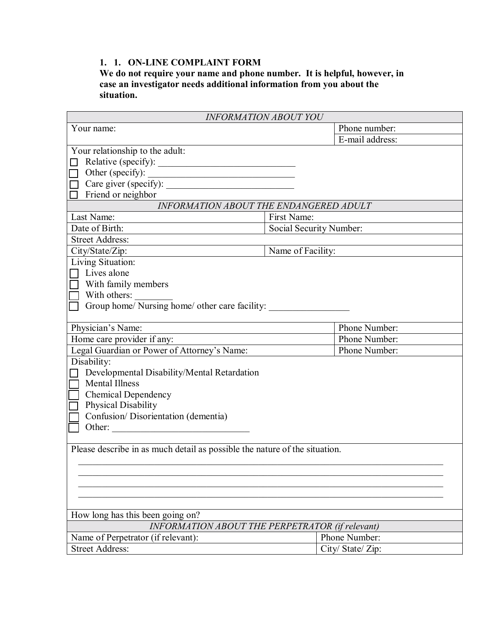## **1. 1. ON-LINE COMPLAINT FORM**

**We do not require your name and phone number. It is helpful, however, in case an investigator needs additional information from you about the situation.** 

| <b>INFORMATION ABOUT YOU</b>                                               |                         |                   |  |
|----------------------------------------------------------------------------|-------------------------|-------------------|--|
| Your name:                                                                 |                         | Phone number:     |  |
|                                                                            |                         | E-mail address:   |  |
| Your relationship to the adult:                                            |                         |                   |  |
|                                                                            |                         |                   |  |
| Other (specify):<br>П                                                      |                         |                   |  |
| Care giver (specify):                                                      |                         |                   |  |
| Friend or neighbor                                                         |                         |                   |  |
| INFORMATION ABOUT THE ENDANGERED ADULT                                     |                         |                   |  |
| Last Name:<br>First Name:                                                  |                         |                   |  |
| Date of Birth:                                                             | Social Security Number: |                   |  |
| <b>Street Address:</b>                                                     |                         |                   |  |
| City/State/Zip:                                                            | Name of Facility:       |                   |  |
| Living Situation:                                                          |                         |                   |  |
| $\Box$ Lives alone                                                         |                         |                   |  |
| With family members                                                        |                         |                   |  |
| With others:                                                               |                         |                   |  |
| Group home/ Nursing home/ other care facility:                             |                         |                   |  |
|                                                                            |                         |                   |  |
| Physician's Name:                                                          |                         | Phone Number:     |  |
| Home care provider if any:                                                 |                         | Phone Number:     |  |
| Legal Guardian or Power of Attorney's Name:                                |                         | Phone Number:     |  |
| Disability:                                                                |                         |                   |  |
| Developmental Disability/Mental Retardation                                |                         |                   |  |
| <b>Mental Illness</b>                                                      |                         |                   |  |
| <b>Chemical Dependency</b>                                                 |                         |                   |  |
| Physical Disability                                                        |                         |                   |  |
| Confusion/Disorientation (dementia)                                        |                         |                   |  |
| Other:                                                                     |                         |                   |  |
|                                                                            |                         |                   |  |
| Please describe in as much detail as possible the nature of the situation. |                         |                   |  |
|                                                                            |                         |                   |  |
|                                                                            |                         |                   |  |
|                                                                            |                         |                   |  |
|                                                                            |                         |                   |  |
|                                                                            |                         |                   |  |
| How long has this been going on?                                           |                         |                   |  |
| <b>INFORMATION ABOUT THE PERPETRATOR (if relevant)</b>                     |                         |                   |  |
| Name of Perpetrator (if relevant):                                         |                         | Phone Number:     |  |
| <b>Street Address:</b>                                                     |                         | City/ State/ Zip: |  |